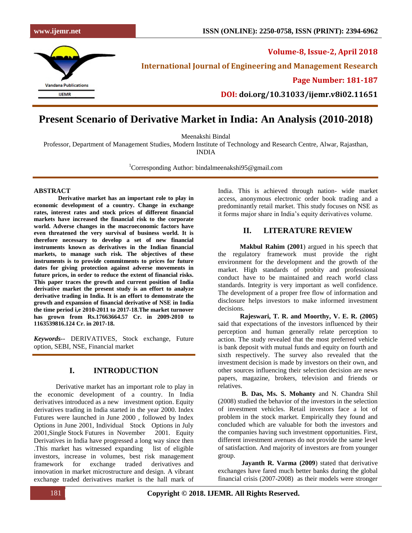

**Volume-8, Issue-2, April 2018 International Journal of Engineering and Management Research**

**Page Number: 181-187**

**DOI: doi.org/10.31033/ijemr.v8i02.11651**

# **Present Scenario of Derivative Market in India: An Analysis (2010-2018)**

Meenakshi Bindal

Professor, Department of Management Studies, Modern Institute of Technology and Research Centre, Alwar, Rajasthan, INDIA

<sup>1</sup>Corresponding Author: bindalmeenakshi $95@$ gmail.com

#### **ABSTRACT**

**Derivative market has an important role to play in economic development of a country. Change in exchange rates, interest rates and stock prices of different financial markets have increased the financial risk to the corporate world. Adverse changes in the macroeconomic factors have even threatened the very survival of business world. It is therefore necessary to develop a set of new financial instruments known as derivatives in the Indian financial markets, to manage such risk. The objectives of these instruments is to provide commitments to prices for future dates for giving protection against adverse movements in future prices, in order to reduce the extent of financial risks. This paper traces the growth and current position of India derivative market the present study is an effort to analyze derivative trading in India. It is an effort to demonstrate the growth and expansion of financial derivative of NSE in India the time period i,e 2010-2011 to 2017-18.The market turnover has grown from Rs.17663664.57 Cr. in 2009-2010 to 1163539816.124 Cr. in 2017-18.**

*Keywords--* DERIVATIVES, Stock exchange, Future option, SEBI, NSE, Financial market

# **I. INTRODUCTION**

 Derivative market has an important role to play in the economic development of a country. In India derivatives introduced as a new investment option. Equity derivatives trading in India started in the year 2000. Index Futures were launched in June 2000 , followed by Index Options in June 2001, Individual Stock Options in July 2001,Single Stock Futures in November 2001. Equity Derivatives in India have progressed a long way since then .This market has witnessed expanding list of eligible investors, increase in volumes, best risk management framework for exchange traded derivatives and innovation in market microstructure and design. A vibrant exchange traded derivatives market is the hall mark of India. This is achieved through nation- wide market access, anonymous electronic order book trading and a predominantly retail market. This study focuses on NSE as it forms major share in India's equity derivatives volume.

### **II. LITERATURE REVIEW**

 **Makbul Rahim (2001**) argued in his speech that the regulatory framework must provide the right environment for the development and the growth of the market. High standards of probity and professional conduct have to be maintained and reach world class standards. Integrity is very important as well confidence. The development of a proper free flow of information and disclosure helps investors to make informed investment decisions.

 **Rajeswari, T. R. and Moorthy, V. E. R. (2005)**  said that expectations of the investors influenced by their perception and human generally relate perception to action. The study revealed that the most preferred vehicle is bank deposit with mutual funds and equity on fourth and sixth respectively. The survey also revealed that the investment decision is made by investors on their own, and other sources influencing their selection decision are news papers, magazine, brokers, television and friends or relatives.

 **B. Das, Ms. S. Mohanty** and N. Chandra Shil (2008) studied the behavior of the investors in the selection of investment vehicles. Retail investors face a lot of problem in the stock market. Empirically they found and concluded which are valuable for both the investors and the companies having such investment opportunities. First, different investment avenues do not provide the same level of satisfaction. And majority of investors are from younger group.

 **Jayanth R. Varma (2009**) stated that derivative exchanges have fared much better banks during the global financial crisis (2007-2008) as their models were stronger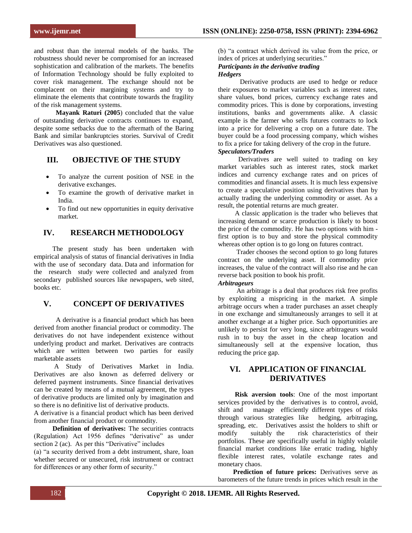and robust than the internal models of the banks. The robustness should never be compromised for an increased sophistication and calibration of the markets. The benefits of Information Technology should be fully exploited to cover risk management. The exchange should not be complacent on their margining systems and try to eliminate the elements that contribute towards the fragility of the risk management systems.

 **Mayank Raturi (2005**) concluded that the value of outstanding derivative contracts continues to expand, despite some setbacks due to the aftermath of the Baring Bank and similar bankruptcies stories. Survival of Credit Derivatives was also questioned.

# **III. OBJECTIVE OF THE STUDY**

- To analyze the current position of NSE in the derivative exchanges.
- To examine the growth of derivative market in India.
- To find out new opportunities in equity derivative market.

### **IV. RESEARCH METHODOLOGY**

 The present study has been undertaken with empirical analysis of status of financial derivatives in India with the use of secondary data. Data and information for the research study were collected and analyzed from secondary published sources like newspapers, web sited, books etc.

# **V. CONCEPT OF DERIVATIVES**

 A derivative is a financial product which has been derived from another financial product or commodity. The derivatives do not have independent existence without underlying product and market. Derivatives are contracts which are written between two parties for easily marketable assets

 A Study of Derivatives Market in India. Derivatives are also known as deferred delivery or deferred payment instruments. Since financial derivatives can be created by means of a mutual agreement, the types of derivative products are limited only by imagination and so there is no definitive list of derivative products.

A derivative is a financial product which has been derived from another financial product or commodity.

**Definition of derivatives:** The securities contracts (Regulation) Act 1956 defines "derivative" as under section 2 (ac). As per this "Derivative" includes

(a) "a security derived from a debt instrument, share, loan whether secured or unsecured, risk instrument or contract for differences or any other form of security."

(b) "a contract which derived its value from the price, or index of prices at underlying securities."

#### *Participants in the derivative trading Hedgers*

 Derivative products are used to hedge or reduce their exposures to market variables such as interest rates, share values, bond prices, currency exchange rates and commodity prices. This is done by corporations, investing institutions, banks and governments alike. A classic example is the farmer who sells futures contracts to lock into a price for delivering a crop on a future date. The buyer could be a food processing company, which wishes to fix a price for taking delivery of the crop in the future. *Speculators/Traders*

 Derivatives are well suited to trading on key market variables such as interest rates, stock market indices and currency exchange rates and on prices of commodities and financial assets. It is much less expensive to create a speculative position using derivatives than by actually trading the underlying commodity or asset. As a result, the potential returns are much greater.

 A classic application is the trader who believes that increasing demand or scarce production is likely to boost the price of the commodity. He has two options with him first option is to buy and store the physical commodity whereas other option is to go long on futures contract.

 Trader chooses the second option to go long futures contract on the underlying asset. If commodity price increases, the value of the contract will also rise and he can reverse back position to book his profit.

#### *Arbitrageurs*

 An arbitrage is a deal that produces risk free profits by exploiting a mispricing in the market. A simple arbitrage occurs when a trader purchases an asset cheaply in one exchange and simultaneously arranges to sell it at another exchange at a higher price. Such opportunities are unlikely to persist for very long, since arbitrageurs would rush in to buy the asset in the cheap location and simultaneously sell at the expensive location, thus reducing the price gap.

# **VI. APPLICATION OF FINANCIAL DERIVATIVES**

 **Risk aversion tools**: One of the most important services provided by the derivatives is to control, avoid, shift and manage efficiently different types of risks through various strategies like hedging, arbitraging, spreading, etc. Derivatives assist the holders to shift or modify suitably the risk characteristics of their portfolios. These are specifically useful in highly volatile financial market conditions like erratic trading, highly flexible interest rates, volatile exchange rates and monetary chaos.

 **Prediction of future prices:** Derivatives serve as barometers of the future trends in prices which result in the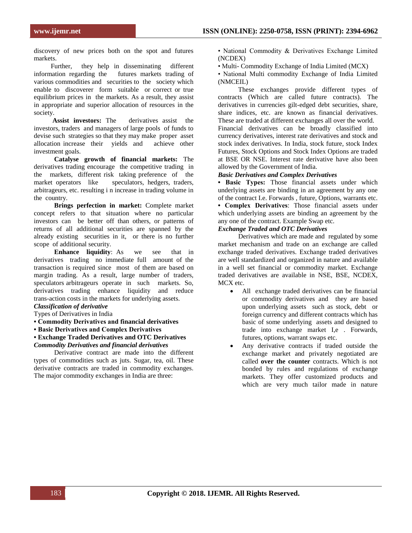discovery of new prices both on the spot and futures markets.

 Further, they help in disseminating different information regarding the futures markets trading of various commodities and securities to the society which enable to discoverer form suitable or correct or true equilibrium prices in the markets. As a result, they assist in appropriate and superior allocation of resources in the society.

 **Assist investors:** The derivatives assist the investors, traders and managers of large pools of funds to devise such strategies so that they may make proper asset allocation increase their yields and achieve other investment goals.

 **Catalyse growth of financial markets:** The derivatives trading encourage the competitive trading in the markets, different risk taking preference of the market operators like speculators, hedgers, traders, speculators, hedgers, traders, arbitrageurs, etc. resulting i n increase in trading volume in the country.

 **Brings perfection in market:** Complete market concept refers to that situation where no particular investors can be better off than others, or patterns of returns of all additional securities are spanned by the already existing securities in it, or there is no further scope of additional security.

**Enhance liquidity:** As we see that in derivatives trading no immediate full amount of the transaction is required since most of them are based on margin trading. As a result, large number of traders, speculators arbitrageurs operate in such markets. So, derivatives trading enhance liquidity and reduce trans-action costs in the markets for underlying assets.

### *Classification of derivative*

Types of Derivatives in India

- **Commodity Derivatives and financial derivatives**
- **Basic Derivatives and Complex Derivatives**

#### **• Exchange Traded Derivatives and OTC Derivatives** *Commodity Derivatives and financial derivatives*

 Derivative contract are made into the different types of commodities such as juts. Sugar, tea, oil. These derivative contracts are traded in commodity exchanges. The major commodity exchanges in India are three:

• National Commodity & Derivatives Exchange Limited (NCDEX)

• Multi- Commodity Exchange of India Limited (MCX)

• National Multi commodity Exchange of India Limited (NMCEIL)

 These exchanges provide different types of contracts (Which are called future contracts). The derivatives in currencies gilt-edged debt securities, share, share indices, etc. are known as financial derivatives. These are traded at different exchanges all over the world. Financial derivatives can be broadly classified into currency derivatives, interest rate derivatives and stock and stock index derivatives. In India, stock future, stock Index Futures, Stock Options and Stock Index Options are traded at BSE OR NSE. Interest rate derivative have also been allowed by the Government of India.

#### *Basic Derivatives and Complex Derivatives*

**• Basic Types:** Those financial assets under which underlying assets are binding in an agreement by any one of the contract I.e. Forwards , future, Options, warrants etc.

**• Complex Derivatives**: Those financial assets under which underlying assets are binding an agreement by the any one of the contract. Example Swap etc.

### *Exchange Traded and OTC Derivatives*

 Derivatives which are made and regulated by some market mechanism and trade on an exchange are called exchange traded derivatives. Exchange traded derivatives are well standardized and organized in nature and available in a well set financial or commodity market. Exchange traded derivatives are available in NSE, BSE, NCDEX, MCX etc.

- All exchange traded derivatives can be financial or commodity derivatives and they are based upon underlying assets such as stock, debt or foreign currency and different contracts which has basic of some underlying assets and designed to trade into exchange market I,e . Forwards, futures, options, warrant swaps etc.
- Any derivative contracts if traded outside the exchange market and privately negotiated are called **over the counter** contracts. Which is not bonded by rules and regulations of exchange markets. They offer customized products and which are very much tailor made in nature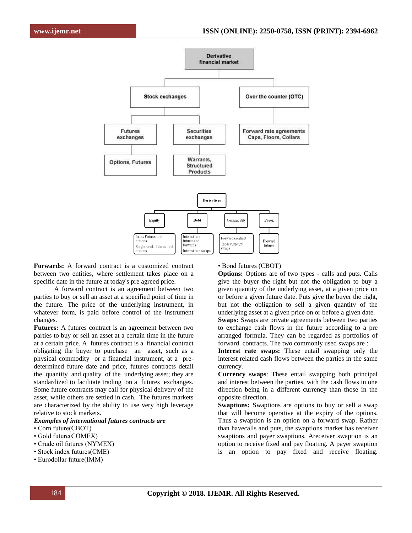

**Forwards:** A forward contract is a customized contract between two entities, where settlement takes place on a specific date in the future at today's pre agreed price.

 A forward contract is an agreement between two parties to buy or sell an asset at a specified point of time in the future. The price of the underlying instrument, in whatever form, is paid before control of the instrument changes.

**Futures:** A futures contract is an agreement between two parties to buy or sell an asset at a certain time in the future at a certain price. A futures contract is a financial contract obligating the buyer to purchase an asset, such as a physical commodity or a financial instrument, at a predetermined future date and price, futures contracts detail the quantity and quality of the underlying asset; they are standardized to facilitate trading on a futures exchanges. Some future contracts may call for physical delivery of the asset, while others are settled in cash. The futures markets are characterized by the ability to use very high leverage relative to stock markets.

#### *Examples of international futures contracts are*

- Corn future(CBOT)
- Gold future(COMEX)
- Crude oil futures (NYMEX)
- Stock index futures(CME)
- Eurodollar future(IMM)

#### • Bond futures (CBOT)

**Options:** Options are of two types - calls and puts. Calls give the buyer the right but not the obligation to buy a given quantity of the underlying asset, at a given price on or before a given future date. Puts give the buyer the right, but not the obligation to sell a given quantity of the underlying asset at a given price on or before a given date.

**Swaps:** Swaps are private agreements between two parties to exchange cash flows in the future according to a pre arranged formula. They can be regarded as portfolios of forward contracts. The two commonly used swaps are :

**Interest rate swaps:** These entail swapping only the interest related cash flows between the parties in the same currency.

**Currency swaps**: These entail swapping both principal and interest between the parties, with the cash flows in one direction being in a different currency than those in the opposite direction.

**Swaptions:** Swaptions are options to buy or sell a swap that will become operative at the expiry of the options. Thus a swaption is an option on a forward swap. Rather than havecalls and puts, the swaptions market has receiver swaptions and payer swaptions. Areceiver swaption is an option to receive fixed and pay floating. A payer swaption is an option to pay fixed and receive floating.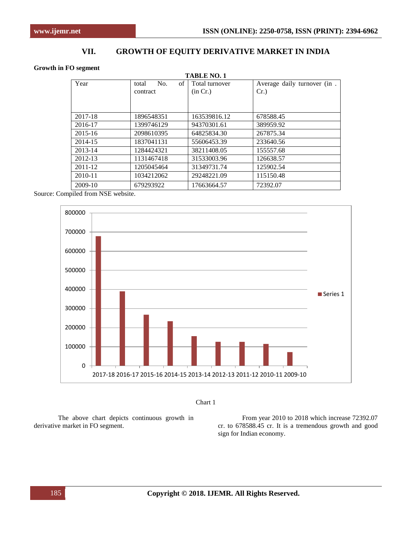# **VII. GROWTH OF EQUITY DERIVATIVE MARKET IN INDIA**

#### **Growth in FO segment**

| <b>TABLE NO. 1</b> |                    |                |                                        |  |  |  |  |  |  |
|--------------------|--------------------|----------------|----------------------------------------|--|--|--|--|--|--|
| Year               | No.<br>of<br>total | Total turnover | Average daily turnover (in.<br>$Cr.$ ) |  |  |  |  |  |  |
|                    | contract           | (in Cr.)       |                                        |  |  |  |  |  |  |
|                    |                    |                |                                        |  |  |  |  |  |  |
|                    |                    |                |                                        |  |  |  |  |  |  |
| 2017-18            | 1896548351         | 163539816.12   | 678588.45                              |  |  |  |  |  |  |
| 2016-17            | 1399746129         | 94370301.61    | 389959.92                              |  |  |  |  |  |  |
| $2015 - 16$        | 2098610395         | 64825834.30    | 267875.34                              |  |  |  |  |  |  |
| 2014-15            | 1837041131         | 55606453.39    | 233640.56                              |  |  |  |  |  |  |
| 2013-14            | 1284424321         | 38211408.05    | 155557.68                              |  |  |  |  |  |  |
| 2012-13            | 1131467418         | 31533003.96    | 126638.57                              |  |  |  |  |  |  |
| 2011-12            | 1205045464         | 31349731.74    | 125902.54                              |  |  |  |  |  |  |
| 2010-11            | 1034212062         | 29248221.09    | 115150.48                              |  |  |  |  |  |  |
| 2009-10            | 679293922          | 17663664.57    | 72392.07                               |  |  |  |  |  |  |

Source: Compiled from NSE website.





The above chart depicts continuous growth in derivative market in FO segment.

From year 2010 to 2018 which increase 72392.07 cr. to 678588.45 cr. It is a tremendous growth and good sign for Indian economy.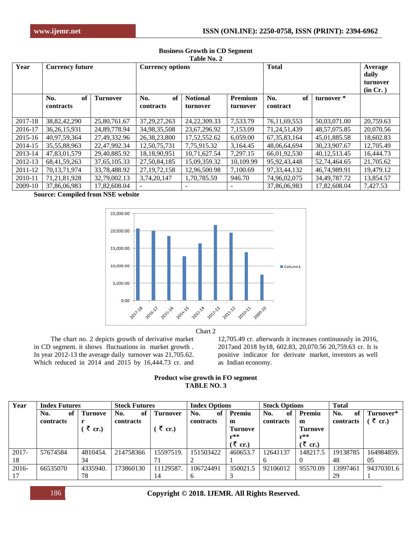| Year        | <b>Currency future</b>        |                 | <b>Currency options</b>       |                             |                            | <b>Total</b>          | Average<br>daily<br>turnover<br>(in Cr.) |           |
|-------------|-------------------------------|-----------------|-------------------------------|-----------------------------|----------------------------|-----------------------|------------------------------------------|-----------|
|             | No.<br>of<br><b>contracts</b> | <b>Turnover</b> | of<br>No.<br><b>contracts</b> | <b>Notional</b><br>turnover | <b>Premium</b><br>turnover | No.<br>of<br>contract | turnover *                               |           |
| 2017-18     | 38,82,42,290                  | 25,80,761.67    | 37, 29, 27, 263               | 24, 22, 309. 33             | 7,533.79                   | 76, 11, 69, 553       | 50,03,071.00                             | 20,759.63 |
| 2016-17     | 36, 26, 15, 931               | 24,89,778.94    | 34,98,35,508                  | 23,67,296.92                | 7,153.09                   | 71,24,51,439          | 48, 57, 075. 85                          | 20,070.56 |
| $2015 - 16$ | 40,97,59,364                  | 27,49,332.96    | 26, 38, 23, 800               | 17,52,552.62                | 6,059.00                   | 67, 35, 83, 164       | 45,01,885.58                             | 18,602.83 |
| 2014-15     | 35, 55, 88, 963               | 22,47,992.34    | 12,50,75,731                  | 7,75,915.32                 | 3,164.45                   | 48,06,64,694          | 30,23,907.67                             | 12,705.49 |
| 2013-14     | 47,83,01,579                  | 29,40,885.92    | 18, 18, 90, 951               | 10,71,627.54                | 7,297.15                   | 66,01,92,530          | 40, 12, 513. 45                          | 16,444.73 |
| 2012-13     | 68, 41, 59, 263               | 37, 65, 105. 33 | 27,50,84,185                  | 15,09,359.32                | 10.109.99                  | 95, 92, 43, 448       | 52,74,464.65                             | 21,705.62 |
| 2011-12     | 70, 13, 71, 974               | 33,78,488.92    | 27, 19, 72, 158               | 12,96,500.98                | 7,100.69                   | 97, 33, 44, 132       | 46.74.989.91                             | 19,479.12 |
| 2010-11     | 71, 21, 81, 928               | 32,79,002.13    | 3,74,20,147                   | 1,70,785.59                 | 946.70                     | 74,96,02,075          | 34, 49, 787. 72                          | 13,854.57 |
| 2009-10     | 37,86,06,983                  | 17,82,608.04    |                               | ۰                           | $\overline{\phantom{0}}$   | 37,86,06,983          | 17.82.608.04                             | 7.427.53  |

#### **Business Growth in CD Segment Table No. 2**

**Source: Compiled from NSE website**



Chart 2

 The chart no. 2 depicts growth of derivative market in CD segment. it shows fluctuations in market growth . In year 2012-13 the average daily turnover was 21,705.62. Which reduced in 2014 and 2015 by 16,444.73 cr. and

12,705.49 cr. afterwards it increases continuously in 2016, 2017and 2018 by18, 602.83, 20,070.56 20,759.63 cr. It is positive indicator for derivate market, investors as well as Indian economy.

| Product wise growth in FO segment |                    |  |  |
|-----------------------------------|--------------------|--|--|
|                                   | <b>TABLE NO. 3</b> |  |  |

| Year     | <b>Index Futures</b> |                | <b>Stock Futures</b> |                 | <b>Index Options</b> |          | <b>Stock Options</b> |                                | <b>Total</b> |            |
|----------|----------------------|----------------|----------------------|-----------------|----------------------|----------|----------------------|--------------------------------|--------------|------------|
|          | No.<br>of            | <b>Turnove</b> | No.<br>of            | <b>Turnover</b> | No.<br>of            | Premiu   | No.<br>of            | Premiu                         | No.<br>of    | Turnover*  |
|          | contracts            |                | contracts            |                 | contracts            | m        | contracts            | m                              | contracts    | ₹ cr.)     |
|          |                      | ₹ cr.)         |                      | ₹ cr.)          |                      | Turnove  |                      | Turnove                        |              |            |
|          |                      |                |                      |                 |                      | $r**$    |                      | $r**$                          |              |            |
|          |                      |                |                      |                 |                      | (₹ cr.)  |                      | $(\bar{\bar{\mathbf{x}}}$ cr.) |              |            |
| $2017 -$ | 57674584             | 4810454.       | 214758366            | 15597519.       | 151503422            | 460653.7 | 12641137             | 148217.5                       | 19138785     | 164984859. |
| 18       |                      | 34             |                      |                 |                      |          |                      |                                | 48           | 0.5        |
| $2016-$  | 66535070             | 4335940.       | 173860130            | 11129587.       | 106724491            | 350021.5 | 92106012             | 95570.09                       | 13997461     | 94370301.6 |
|          |                      | 78             |                      | 14              | <sub>6</sub>         |          |                      |                                | 29           |            |